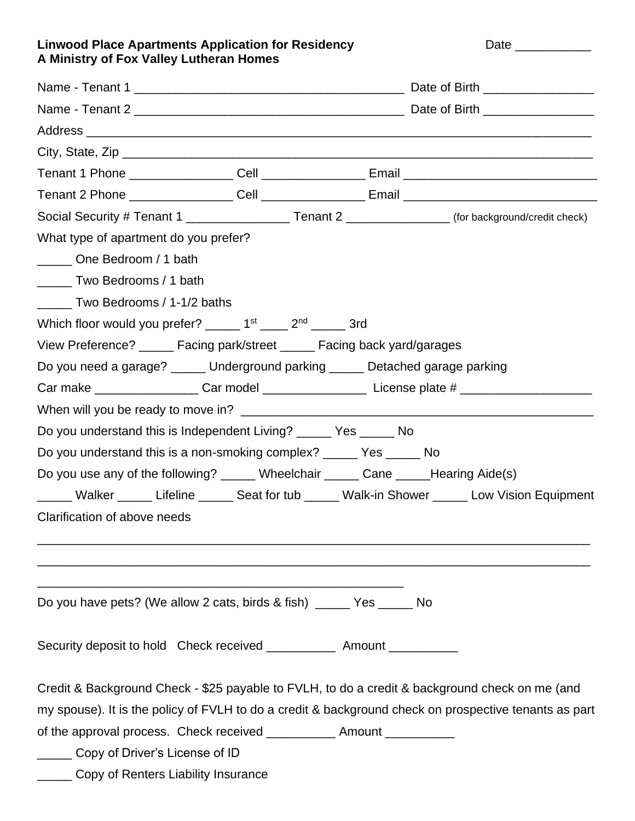## Linwood Place Apartments Application for Residency **Date Linux Community Place Place Apartments** Application for Residency **A Ministry of Fox Valley Lutheran Homes**

| Social Security # Tenant 1 ____________________Tenant 2 ________________(for background/credit check) |  |  |  |  |  |  |  |
|-------------------------------------------------------------------------------------------------------|--|--|--|--|--|--|--|
| What type of apartment do you prefer?                                                                 |  |  |  |  |  |  |  |
| One Bedroom / 1 bath                                                                                  |  |  |  |  |  |  |  |
| Two Bedrooms / 1 bath                                                                                 |  |  |  |  |  |  |  |
| Two Bedrooms / 1-1/2 baths                                                                            |  |  |  |  |  |  |  |
| Which floor would you prefer? $\frac{1}{2}$ 1st $\frac{1}{2}$ 2 <sup>nd</sup> $\frac{1}{2}$ 3rd       |  |  |  |  |  |  |  |
| View Preference? ______ Facing park/street ______ Facing back yard/garages                            |  |  |  |  |  |  |  |
| Do you need a garage? ______ Underground parking ______ Detached garage parking                       |  |  |  |  |  |  |  |
| Car make _____________________Car model ________________________License plate # ____________________  |  |  |  |  |  |  |  |
|                                                                                                       |  |  |  |  |  |  |  |
| Do you understand this is Independent Living? ______ Yes _____ No                                     |  |  |  |  |  |  |  |
| Do you understand this is a non-smoking complex? ______ Yes ______ No                                 |  |  |  |  |  |  |  |
| Do you use any of the following? _____ Wheelchair _____ Cane _____Hearing Aide(s)                     |  |  |  |  |  |  |  |
| _____ Walker _____ Lifeline _____ Seat for tub _____ Walk-in Shower _____ Low Vision Equipment        |  |  |  |  |  |  |  |
| Clarification of above needs                                                                          |  |  |  |  |  |  |  |
|                                                                                                       |  |  |  |  |  |  |  |
|                                                                                                       |  |  |  |  |  |  |  |
|                                                                                                       |  |  |  |  |  |  |  |
| Do you have pets? (We allow 2 cats, birds & fish) _____ Yes _____ No                                  |  |  |  |  |  |  |  |
| Security deposit to hold Check received ______________ Amount ___________                             |  |  |  |  |  |  |  |
|                                                                                                       |  |  |  |  |  |  |  |
| Credit & Background Check - \$25 payable to FVLH, to do a credit & background check on me (and        |  |  |  |  |  |  |  |
| my spouse). It is the policy of FVLH to do a credit & background check on prospective tenants as part |  |  |  |  |  |  |  |
| of the approval process. Check received _____________ Amount ___________                              |  |  |  |  |  |  |  |
| Copy of Driver's License of ID                                                                        |  |  |  |  |  |  |  |
| Copy of Renters Liability Insurance                                                                   |  |  |  |  |  |  |  |